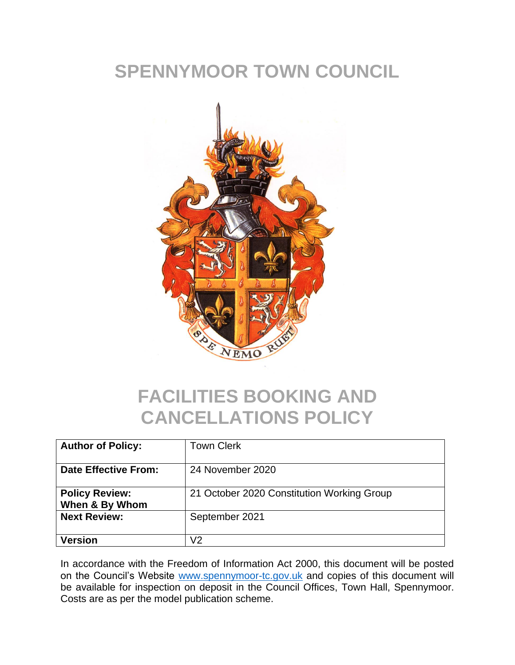# **SPENNYMOOR TOWN COUNCIL**



## **FACILITIES BOOKING AND CANCELLATIONS POLICY**

| <b>Author of Policy:</b>                | <b>Town Clerk</b>                          |
|-----------------------------------------|--------------------------------------------|
| <b>Date Effective From:</b>             | 24 November 2020                           |
| <b>Policy Review:</b><br>When & By Whom | 21 October 2020 Constitution Working Group |
| <b>Next Review:</b>                     | September 2021                             |
| Version                                 | ノク                                         |

In accordance with the Freedom of Information Act 2000, this document will be posted on the Council's Website [www.spennymoor-tc.gov.uk](http://www.spennymoor-tc.gov.uk/) and copies of this document will be available for inspection on deposit in the Council Offices, Town Hall, Spennymoor. Costs are as per the model publication scheme.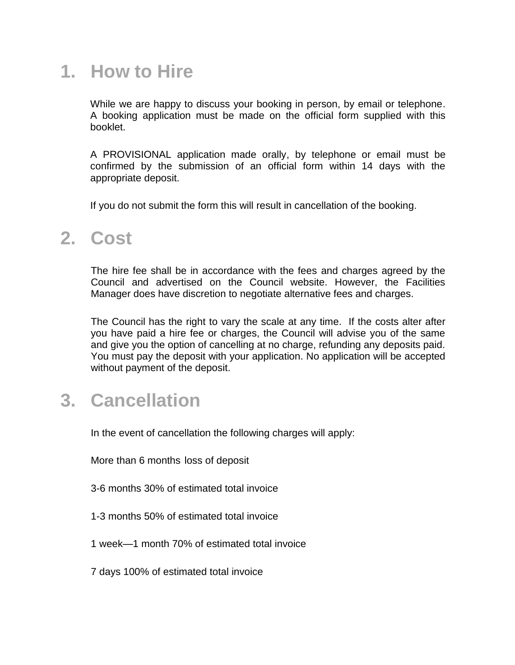## **1. How to Hire**

While we are happy to discuss your booking in person, by email or telephone. A booking application must be made on the official form supplied with this booklet.

A PROVISIONAL application made orally, by telephone or email must be confirmed by the submission of an official form within 14 days with the appropriate deposit.

If you do not submit the form this will result in cancellation of the booking.

### **2. Cost**

The hire fee shall be in accordance with the fees and charges agreed by the Council and advertised on the Council website. However, the Facilities Manager does have discretion to negotiate alternative fees and charges.

The Council has the right to vary the scale at any time. If the costs alter after you have paid a hire fee or charges, the Council will advise you of the same and give you the option of cancelling at no charge, refunding any deposits paid. You must pay the deposit with your application. No application will be accepted without payment of the deposit.

### **3. Cancellation**

In the event of cancellation the following charges will apply:

More than 6 months loss of deposit

3-6 months 30% of estimated total invoice

- 1-3 months 50% of estimated total invoice
- 1 week—1 month 70% of estimated total invoice
- 7 days 100% of estimated total invoice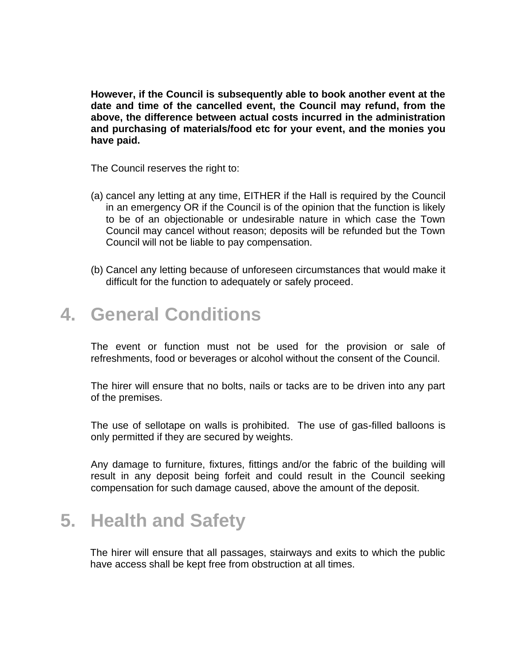**However, if the Council is subsequently able to book another event at the date and time of the cancelled event, the Council may refund, from the above, the difference between actual costs incurred in the administration and purchasing of materials/food etc for your event, and the monies you have paid.**

The Council reserves the right to:

- (a) cancel any letting at any time, EITHER if the Hall is required by the Council in an emergency OR if the Council is of the opinion that the function is likely to be of an objectionable or undesirable nature in which case the Town Council may cancel without reason; deposits will be refunded but the Town Council will not be liable to pay compensation.
- (b) Cancel any letting because of unforeseen circumstances that would make it difficult for the function to adequately or safely proceed.

### **4. General Conditions**

The event or function must not be used for the provision or sale of refreshments, food or beverages or alcohol without the consent of the Council.

The hirer will ensure that no bolts, nails or tacks are to be driven into any part of the premises.

The use of sellotape on walls is prohibited. The use of gas-filled balloons is only permitted if they are secured by weights.

Any damage to furniture, fixtures, fittings and/or the fabric of the building will result in any deposit being forfeit and could result in the Council seeking compensation for such damage caused, above the amount of the deposit.

## **5. Health and Safety**

The hirer will ensure that all passages, stairways and exits to which the public have access shall be kept free from obstruction at all times.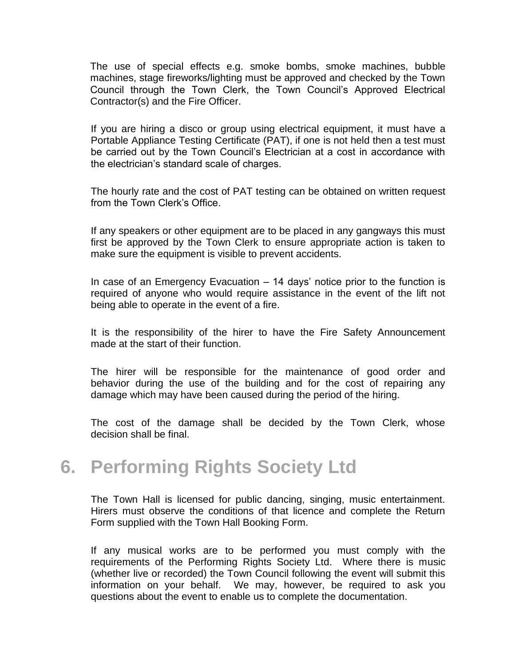The use of special effects e.g. smoke bombs, smoke machines, bubble machines, stage fireworks/lighting must be approved and checked by the Town Council through the Town Clerk, the Town Council's Approved Electrical Contractor(s) and the Fire Officer.

If you are hiring a disco or group using electrical equipment, it must have a Portable Appliance Testing Certificate (PAT), if one is not held then a test must be carried out by the Town Council's Electrician at a cost in accordance with the electrician's standard scale of charges.

The hourly rate and the cost of PAT testing can be obtained on written request from the Town Clerk's Office.

If any speakers or other equipment are to be placed in any gangways this must first be approved by the Town Clerk to ensure appropriate action is taken to make sure the equipment is visible to prevent accidents.

In case of an Emergency Evacuation – 14 days' notice prior to the function is required of anyone who would require assistance in the event of the lift not being able to operate in the event of a fire.

It is the responsibility of the hirer to have the Fire Safety Announcement made at the start of their function.

The hirer will be responsible for the maintenance of good order and behavior during the use of the building and for the cost of repairing any damage which may have been caused during the period of the hiring.

The cost of the damage shall be decided by the Town Clerk, whose decision shall be final.

### **6. Performing Rights Society Ltd**

The Town Hall is licensed for public dancing, singing, music entertainment. Hirers must observe the conditions of that licence and complete the Return Form supplied with the Town Hall Booking Form.

If any musical works are to be performed you must comply with the requirements of the Performing Rights Society Ltd. Where there is music (whether live or recorded) the Town Council following the event will submit this information on your behalf. We may, however, be required to ask you questions about the event to enable us to complete the documentation.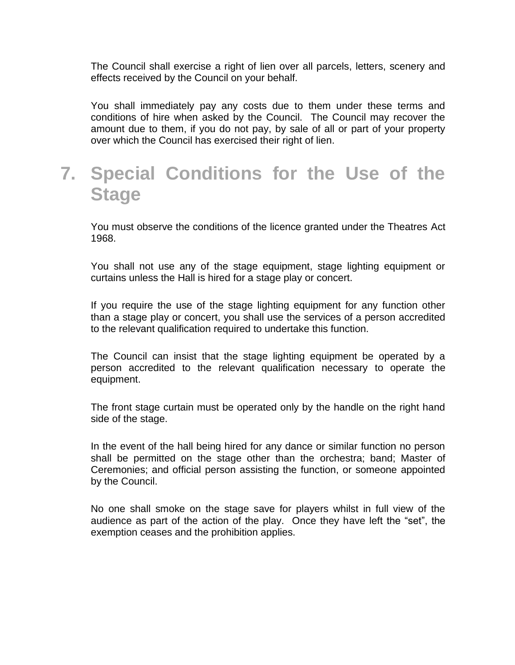The Council shall exercise a right of lien over all parcels, letters, scenery and effects received by the Council on your behalf.

You shall immediately pay any costs due to them under these terms and conditions of hire when asked by the Council. The Council may recover the amount due to them, if you do not pay, by sale of all or part of your property over which the Council has exercised their right of lien.

## **7. Special Conditions for the Use of the Stage**

You must observe the conditions of the licence granted under the Theatres Act 1968.

You shall not use any of the stage equipment, stage lighting equipment or curtains unless the Hall is hired for a stage play or concert.

If you require the use of the stage lighting equipment for any function other than a stage play or concert, you shall use the services of a person accredited to the relevant qualification required to undertake this function.

The Council can insist that the stage lighting equipment be operated by a person accredited to the relevant qualification necessary to operate the equipment.

The front stage curtain must be operated only by the handle on the right hand side of the stage.

In the event of the hall being hired for any dance or similar function no person shall be permitted on the stage other than the orchestra; band; Master of Ceremonies; and official person assisting the function, or someone appointed by the Council.

No one shall smoke on the stage save for players whilst in full view of the audience as part of the action of the play. Once they have left the "set", the exemption ceases and the prohibition applies.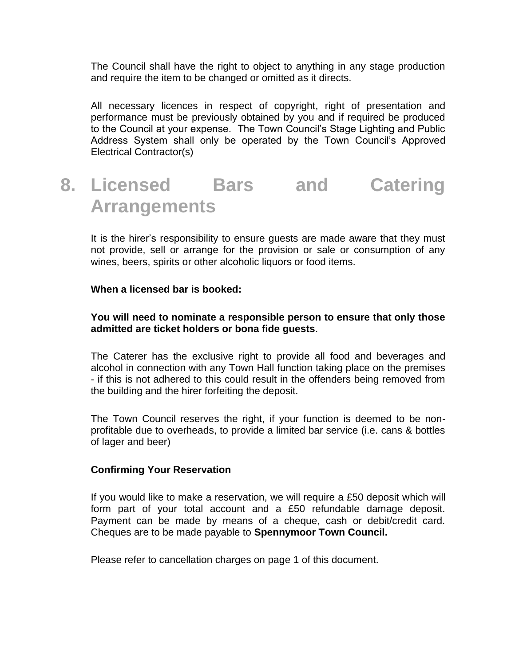The Council shall have the right to object to anything in any stage production and require the item to be changed or omitted as it directs.

All necessary licences in respect of copyright, right of presentation and performance must be previously obtained by you and if required be produced to the Council at your expense. The Town Council's Stage Lighting and Public Address System shall only be operated by the Town Council's Approved Electrical Contractor(s)

## **8. Licensed Bars and Catering Arrangements**

It is the hirer's responsibility to ensure guests are made aware that they must not provide, sell or arrange for the provision or sale or consumption of any wines, beers, spirits or other alcoholic liquors or food items.

#### **When a licensed bar is booked:**

#### **You will need to nominate a responsible person to ensure that only those admitted are ticket holders or bona fide guests**.

The Caterer has the exclusive right to provide all food and beverages and alcohol in connection with any Town Hall function taking place on the premises - if this is not adhered to this could result in the offenders being removed from the building and the hirer forfeiting the deposit.

The Town Council reserves the right, if your function is deemed to be nonprofitable due to overheads, to provide a limited bar service (i.e. cans & bottles of lager and beer)

#### **Confirming Your Reservation**

If you would like to make a reservation, we will require a £50 deposit which will form part of your total account and a £50 refundable damage deposit. Payment can be made by means of a cheque, cash or debit/credit card. Cheques are to be made payable to **Spennymoor Town Council.**

Please refer to cancellation charges on page 1 of this document.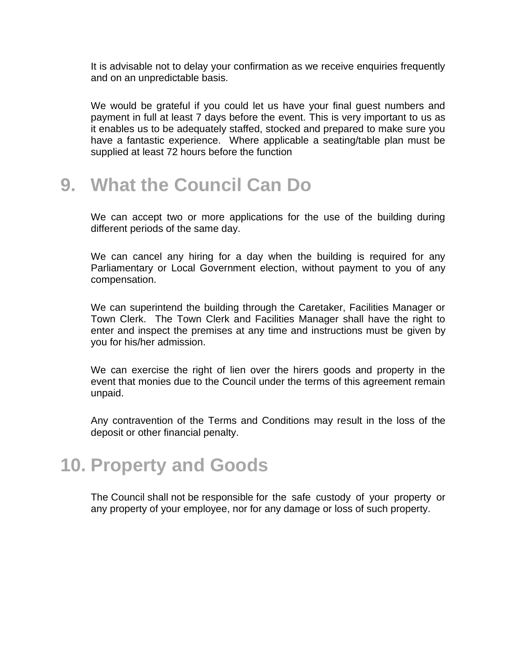It is advisable not to delay your confirmation as we receive enquiries frequently and on an unpredictable basis.

We would be grateful if you could let us have your final guest numbers and payment in full at least 7 days before the event. This is very important to us as it enables us to be adequately staffed, stocked and prepared to make sure you have a fantastic experience. Where applicable a seating/table plan must be supplied at least 72 hours before the function

### **9. What the Council Can Do**

We can accept two or more applications for the use of the building during different periods of the same day.

We can cancel any hiring for a day when the building is required for any Parliamentary or Local Government election, without payment to you of any compensation.

We can superintend the building through the Caretaker, Facilities Manager or Town Clerk. The Town Clerk and Facilities Manager shall have the right to enter and inspect the premises at any time and instructions must be given by you for his/her admission.

We can exercise the right of lien over the hirers goods and property in the event that monies due to the Council under the terms of this agreement remain unpaid.

Any contravention of the Terms and Conditions may result in the loss of the deposit or other financial penalty.

### **10. Property and Goods**

The Council shall not be responsible for the safe custody of your property or any property of your employee, nor for any damage or loss of such property.